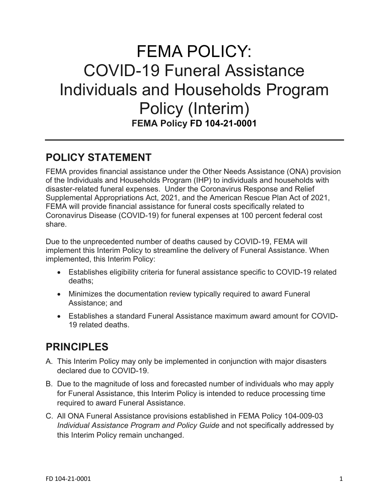# FEMA POLICY: COVID-19 Funeral Assistance Individuals and Households Program Policy (Interim) **FEMA Policy FD 104-21-0001**

## **POLICY STATEMENT**

FEMA provides financial assistance under the Other Needs Assistance (ONA) provision of the Individuals and Households Program (IHP) to individuals and households with disaster-related funeral expenses. Under the Coronavirus Response and Relief Supplemental Appropriations Act, 2021, and the American Rescue Plan Act of 2021, FEMA will provide financial assistance for funeral costs specifically related to Coronavirus Disease (COVID-19) for funeral expenses at 100 percent federal cost share.

Due to the unprecedented number of deaths caused by COVID-19, FEMA will implement this Interim Policy to streamline the delivery of Funeral Assistance. When implemented, this Interim Policy:

- Establishes eligibility criteria for funeral assistance specific to COVID-19 related deaths;
- Minimizes the documentation review typically required to award Funeral Assistance; and
- Establishes a standard Funeral Assistance maximum award amount for COVID-19 related deaths.

# **PRINCIPLES**

- A. This Interim Policy may only be implemented in conjunction with major disasters declared due to COVID-19.
- B. Due to the magnitude of loss and forecasted number of individuals who may apply for Funeral Assistance, this Interim Policy is intended to reduce processing time required to award Funeral Assistance.
- C. All ONA Funeral Assistance provisions established in FEMA Policy 104-009-03 *Individual Assistance Program and Policy Guide* and not specifically addressed by this Interim Policy remain unchanged.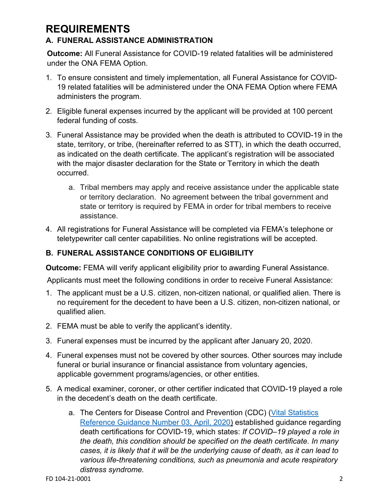## **REQUIREMENTS A. FUNERAL ASSISTANCE ADMINISTRATION**

**Outcome:** All Funeral Assistance for COVID-19 related fatalities will be administered under the ONA FEMA Option.

- 1. To ensure consistent and timely implementation, all Funeral Assistance for COVID-19 related fatalities will be administered under the ONA FEMA Option where FEMA administers the program.
- 2. Eligible funeral expenses incurred by the applicant will be provided at 100 percent federal funding of costs.
- 3. Funeral Assistance may be provided when the death is attributed to COVID-19 in the state, territory, or tribe, (hereinafter referred to as STT), in which the death occurred, as indicated on the death certificate. The applicant's registration will be associated with the major disaster declaration for the State or Territory in which the death occurred.
	- a. Tribal members may apply and receive assistance under the applicable state or territory declaration. No agreement between the tribal government and state or territory is required by FEMA in order for tribal members to receive assistance.
- 4. All registrations for Funeral Assistance will be completed via FEMA's telephone or teletypewriter call center capabilities. No online registrations will be accepted.

### **B. FUNERAL ASSISTANCE CONDITIONS OF ELIGIBILITY**

**Outcome: FEMA will verify applicant eligibility prior to awarding Funeral Assistance.** 

Applicants must meet the following conditions in order to receive Funeral Assistance:

- 1. The applicant must be a U.S. citizen, non-citizen national, or qualified alien. There is no requirement for the decedent to have been a U.S. citizen, non-citizen national, or qualified alien.
- 2. FEMA must be able to verify the applicant's identity.
- 3. Funeral expenses must be incurred by the applicant after January 20, 2020.
- 4. Funeral expenses must not be covered by other sources. Other sources may include funeral or burial insurance or financial assistance from voluntary agencies, applicable government programs/agencies, or other entities.
- 5. A medical examiner, coroner, or other certifier indicated that COVID-19 played a role in the decedent's death on the death certificate.
	- a. The Centers for Disease Control and Prevention (CDC) [\(Vital Statistics](https://www.cdc.gov/nchs/data/nvss/vsrg/vsrg03-508.pdf)  [Reference Guidance Number 03, April, 2020\)](https://www.cdc.gov/nchs/data/nvss/vsrg/vsrg03-508.pdf) established guidance regarding death certifications for COVID-19, which states: *If COVID–19 played a role in the death, this condition should be specified on the death certificate. In many cases, it is likely that it will be the underlying cause of death, as it can lead to various life-threatening conditions, such as pneumonia and acute respiratory distress syndrome.*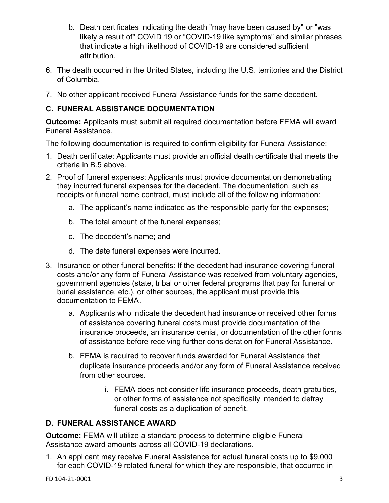- b. Death certificates indicating the death "may have been caused by" or "was likely a result of" COVID 19 or "COVID-19 like symptoms" and similar phrases that indicate a high likelihood of COVID-19 are considered sufficient attribution.
- 6. The death occurred in the United States, including the U.S. territories and the District of Columbia.
- 7. No other applicant received Funeral Assistance funds for the same decedent.

#### **C. FUNERAL ASSISTANCE DOCUMENTATION**

**Outcome:** Applicants must submit all required documentation before FEMA will award Funeral Assistance.

The following documentation is required to confirm eligibility for Funeral Assistance:

- 1. Death certificate: Applicants must provide an official death certificate that meets the criteria in B.5 above.
- 2. Proof of funeral expenses: Applicants must provide documentation demonstrating they incurred funeral expenses for the decedent. The documentation, such as receipts or funeral home contract, must include all of the following information:
	- a. The applicant's name indicated as the responsible party for the expenses;
	- b. The total amount of the funeral expenses;
	- c. The decedent's name; and
	- d. The date funeral expenses were incurred.
- 3. Insurance or other funeral benefits: If the decedent had insurance covering funeral costs and/or any form of Funeral Assistance was received from voluntary agencies, government agencies (state, tribal or other federal programs that pay for funeral or burial assistance, etc.), or other sources, the applicant must provide this documentation to FEMA.
	- a. Applicants who indicate the decedent had insurance or received other forms of assistance covering funeral costs must provide documentation of the insurance proceeds, an insurance denial, or documentation of the other forms of assistance before receiving further consideration for Funeral Assistance.
	- b. FEMA is required to recover funds awarded for Funeral Assistance that duplicate insurance proceeds and/or any form of Funeral Assistance received from other sources.
		- i. FEMA does not consider life insurance proceeds, death gratuities, or other forms of assistance not specifically intended to defray funeral costs as a duplication of benefit.

#### **D. FUNERAL ASSISTANCE AWARD**

**Outcome:** FEMA will utilize a standard process to determine eligible Funeral Assistance award amounts across all COVID-19 declarations.

1. An applicant may receive Funeral Assistance for actual funeral costs up to \$9,000 for each COVID-19 related funeral for which they are responsible, that occurred in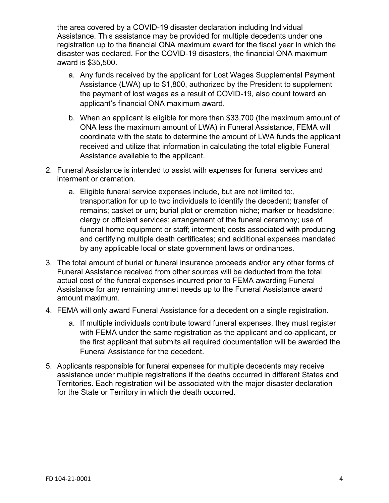the area covered by a COVID-19 disaster declaration including Individual Assistance. This assistance may be provided for multiple decedents under one registration up to the financial ONA maximum award for the fiscal year in which the disaster was declared. For the COVID-19 disasters, the financial ONA maximum award is \$35,500.

- a. Any funds received by the applicant for Lost Wages Supplemental Payment Assistance (LWA) up to \$1,800, authorized by the President to supplement the payment of lost wages as a result of COVID-19, also count toward an applicant's financial ONA maximum award.
- b. When an applicant is eligible for more than \$33,700 (the maximum amount of ONA less the maximum amount of LWA) in Funeral Assistance, FEMA will coordinate with the state to determine the amount of LWA funds the applicant received and utilize that information in calculating the total eligible Funeral Assistance available to the applicant.
- 2. Funeral Assistance is intended to assist with expenses for funeral services and interment or cremation.
	- a. Eligible funeral service expenses include, but are not limited to:, transportation for up to two individuals to identify the decedent; transfer of remains; casket or urn; burial plot or cremation niche; marker or headstone; clergy or officiant services; arrangement of the funeral ceremony; use of funeral home equipment or staff; interment; costs associated with producing and certifying multiple death certificates; and additional expenses mandated by any applicable local or state government laws or ordinances.
- 3. The total amount of burial or funeral insurance proceeds and/or any other forms of Funeral Assistance received from other sources will be deducted from the total actual cost of the funeral expenses incurred prior to FEMA awarding Funeral Assistance for any remaining unmet needs up to the Funeral Assistance award amount maximum.
- 4. FEMA will only award Funeral Assistance for a decedent on a single registration.
	- a. If multiple individuals contribute toward funeral expenses, they must register with FEMA under the same registration as the applicant and co-applicant, or the first applicant that submits all required documentation will be awarded the Funeral Assistance for the decedent.
- 5. Applicants responsible for funeral expenses for multiple decedents may receive assistance under multiple registrations if the deaths occurred in different States and Territories. Each registration will be associated with the major disaster declaration for the State or Territory in which the death occurred.